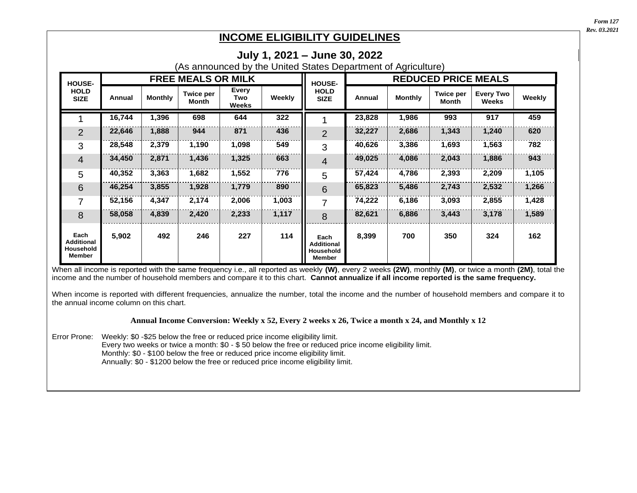*Form 127 Rev. 03.2021*

Revised 3/2021

## **INCOME ELIGIBILITY GUIDELINES**

|                                                  |        |                |                           |                       |        | (As announced by the United States Department of Agriculture) |                            |                |                           |                           |        |  |
|--------------------------------------------------|--------|----------------|---------------------------|-----------------------|--------|---------------------------------------------------------------|----------------------------|----------------|---------------------------|---------------------------|--------|--|
| <b>HOUSE-</b><br><b>HOLD</b><br><b>SIZE</b>      |        |                | <b>FREE MEALS OR MILK</b> |                       |        | <b>HOUSE-</b><br><b>HOLD</b><br><b>SIZE</b>                   | <b>REDUCED PRICE MEALS</b> |                |                           |                           |        |  |
|                                                  | Annual | <b>Monthly</b> | <b>Twice per</b><br>Month | Every<br>Two<br>Weeks | Weekly |                                                               | Annual                     | <b>Monthly</b> | <b>Twice per</b><br>Month | <b>Every Two</b><br>Weeks | Weekly |  |
|                                                  | 16,744 | 1,396          | 698                       | 644                   | 322    |                                                               | 23,828                     | 1,986          | 993                       | 917                       | 459    |  |
| $\overline{2}$                                   | 22,646 | 1,888          | 944                       | 871                   | 436    | $\overline{2}$                                                | 32,227                     | 2,686          | 1,343                     | 1,240                     | 620    |  |
| 3                                                | 28,548 | 2,379          | 1,190                     | 1,098                 | 549    | 3                                                             | 40,626                     | 3,386          | 1,693                     | 1,563                     | 782    |  |
| $\overline{4}$                                   | 34,450 | 2,871          | 1,436                     | 1,325                 | 663    | $\overline{4}$                                                | 49,025                     | 4,086          | 2,043                     | 1,886                     | 943    |  |
| 5                                                | 40,352 | 3,363          | 1,682                     | 1,552                 | 776    | 5                                                             | 57,424                     | 4,786          | 2,393                     | 2,209                     | 1,105  |  |
| 6                                                | 46,254 | 3,855          | 1,928                     | 1,779                 | 890    | 6                                                             | 65,823                     | 5,486          | 2,743                     | 2,532                     | 1,266  |  |
| $\overline{7}$                                   | 52,156 | 4,347          | 2,174                     | 2,006                 | 1,003  | $\overline{7}$                                                | 74,222                     | 6,186          | 3,093                     | 2,855                     | 1,428  |  |
| 8                                                | 58,058 | 4,839          | 2,420                     | 2,233                 | 1,117  | 8                                                             | 82,621                     | 6,886          | 3,443                     | 3,178                     | 1,589  |  |
| Each<br><b>Additional</b><br>Household<br>Member | 5,902  | 492            | 246                       | 227                   | 114    | Each<br><b>Additional</b><br>Household<br><b>Member</b>       | 8,399                      | 700            | 350                       | 324                       | 162    |  |

When all income is reported with the same frequency i.e., all reported as weekly **(W)**, every 2 weeks **(2W)**, monthly **(M)**, or twice a month **(2M)**, total the income and the number of household members and compare it to this chart. **Cannot annualize if all income reported is the same frequency.**

When income is reported with different frequencies, annualize the number, total the income and the number of household members and compare it to the annual income column on this chart.

## **Annual Income Conversion: Weekly x 52, Every 2 weeks x 26, Twice a month x 24, and Monthly x 12**

Error Prone: Weekly: \$0 -\$25 below the free or reduced price income eligibility limit. Every two weeks or twice a month: \$0 - \$ 50 below the free or reduced price income eligibility limit. Monthly: \$0 - \$100 below the free or reduced price income eligibility limit. Annually: \$0 - \$1200 below the free or reduced price income eligibility limit.

## **July 1, 2021 – June 30, 2022**